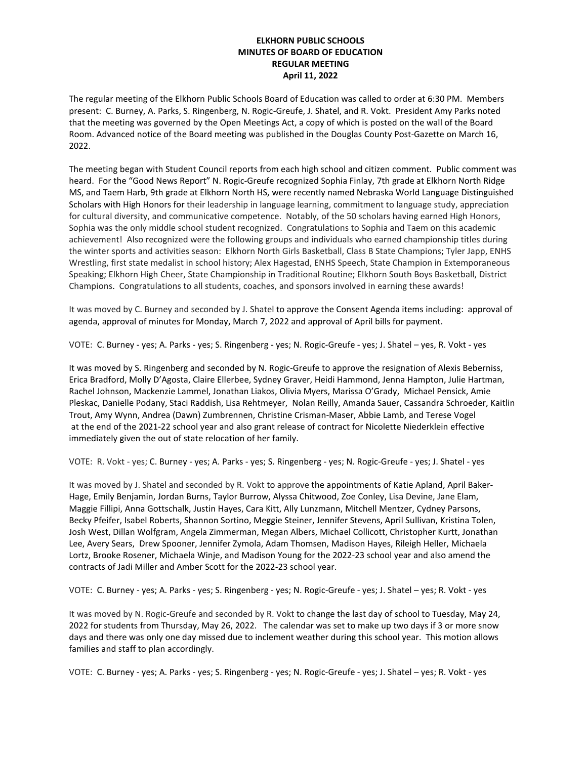## **ELKHORN PUBLIC SCHOOLS MINUTES OF BOARD OF EDUCATION REGULAR MEETING April 11, 2022**

The regular meeting of the Elkhorn Public Schools Board of Education was called to order at 6:30 PM. Members present: C. Burney, A. Parks, S. Ringenberg, N. Rogic-Greufe, J. Shatel, and R. Vokt. President Amy Parks noted that the meeting was governed by the Open Meetings Act, a copy of which is posted on the wall of the Board Room. Advanced notice of the Board meeting was published in the Douglas County Post-Gazette on March 16, 2022.

The meeting began with Student Council reports from each high school and citizen comment. Public comment was heard. For the "Good News Report" N. Rogic-Greufe recognized Sophia Finlay, 7th grade at Elkhorn North Ridge MS, and Taem Harb, 9th grade at Elkhorn North HS, were recently named Nebraska World Language Distinguished Scholars with High Honors for their leadership in language learning, commitment to language study, appreciation for cultural diversity, and communicative competence. Notably, of the 50 scholars having earned High Honors, Sophia was the only middle school student recognized. Congratulations to Sophia and Taem on this academic achievement! Also recognized were the following groups and individuals who earned championship titles during the winter sports and activities season: Elkhorn North Girls Basketball, Class B State Champions; Tyler Japp, ENHS Wrestling, first state medalist in school history; Alex Hagestad, ENHS Speech, State Champion in Extemporaneous Speaking; Elkhorn High Cheer, State Championship in Traditional Routine; Elkhorn South Boys Basketball, District Champions. Congratulations to all students, coaches, and sponsors involved in earning these awards!

It was moved by C. Burney and seconded by J. Shatel to approve the Consent Agenda items including: approval of agenda, approval of minutes for Monday, March 7, 2022 and approval of April bills for payment.

VOTE: C. Burney - yes; A. Parks - yes; S. Ringenberg - yes; N. Rogic-Greufe - yes; J. Shatel – yes, R. Vokt - yes

It was moved by S. Ringenberg and seconded by N. Rogic-Greufe to approve the resignation of Alexis Beberniss, Erica Bradford, Molly D'Agosta, Claire Ellerbee, Sydney Graver, Heidi Hammond, Jenna Hampton, Julie Hartman, Rachel Johnson, Mackenzie Lammel, Jonathan Liakos, Olivia Myers, Marissa O'Grady, Michael Pensick, Amie Pleskac, Danielle Podany, Staci Raddish, Lisa Rehtmeyer, Nolan Reilly, Amanda Sauer, Cassandra Schroeder, Kaitlin Trout, Amy Wynn, Andrea (Dawn) Zumbrennen, Christine Crisman-Maser, Abbie Lamb, and Terese Vogel at the end of the 2021-22 school year and also grant release of contract for Nicolette Niederklein effective immediately given the out of state relocation of her family.

VOTE: R. Vokt - yes; C. Burney - yes; A. Parks - yes; S. Ringenberg - yes; N. Rogic-Greufe - yes; J. Shatel - yes

It was moved by J. Shatel and seconded by R. Vokt to approve the appointments of Katie Apland, April Baker-Hage, Emily Benjamin, Jordan Burns, Taylor Burrow, Alyssa Chitwood, Zoe Conley, Lisa Devine, Jane Elam, Maggie Fillipi, Anna Gottschalk, Justin Hayes, Cara Kitt, Ally Lunzmann, Mitchell Mentzer, Cydney Parsons, Becky Pfeifer, Isabel Roberts, Shannon Sortino, Meggie Steiner, Jennifer Stevens, April Sullivan, Kristina Tolen, Josh West, Dillan Wolfgram, Angela Zimmerman, Megan Albers, Michael Collicott, Christopher Kurtt, Jonathan Lee, Avery Sears, Drew Spooner, Jennifer Zymola, Adam Thomsen, Madison Hayes, Rileigh Heller, Michaela Lortz, Brooke Rosener, Michaela Winje, and Madison Young for the 2022-23 school year and also amend the contracts of Jadi Miller and Amber Scott for the 2022-23 school year.

VOTE: C. Burney - yes; A. Parks - yes; S. Ringenberg - yes; N. Rogic-Greufe - yes; J. Shatel – yes; R. Vokt - yes

It was moved by N. Rogic-Greufe and seconded by R. Vokt to change the last day of school to Tuesday, May 24, 2022 for students from Thursday, May 26, 2022. The calendar was set to make up two days if 3 or more snow days and there was only one day missed due to inclement weather during this school year. This motion allows families and staff to plan accordingly.

VOTE: C. Burney - yes; A. Parks - yes; S. Ringenberg - yes; N. Rogic-Greufe - yes; J. Shatel – yes; R. Vokt - yes